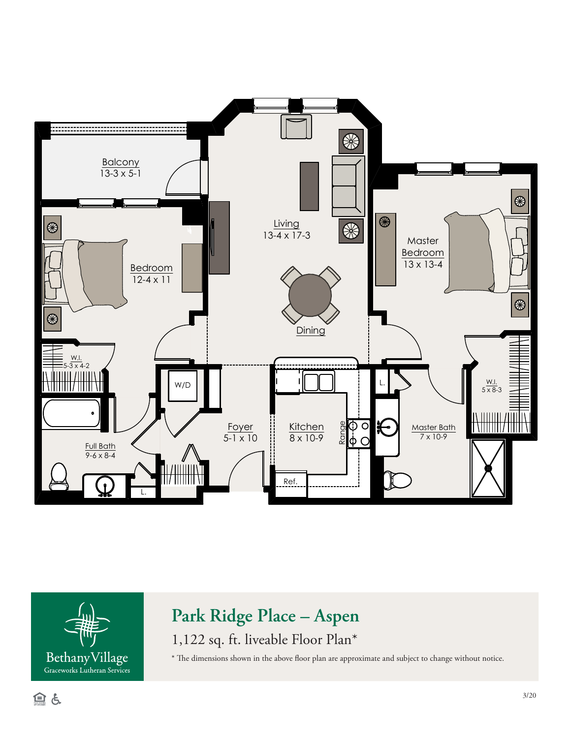



## **Park Ridge Place – Aspen**

1,122 sq. ft. liveable Floor Plan\*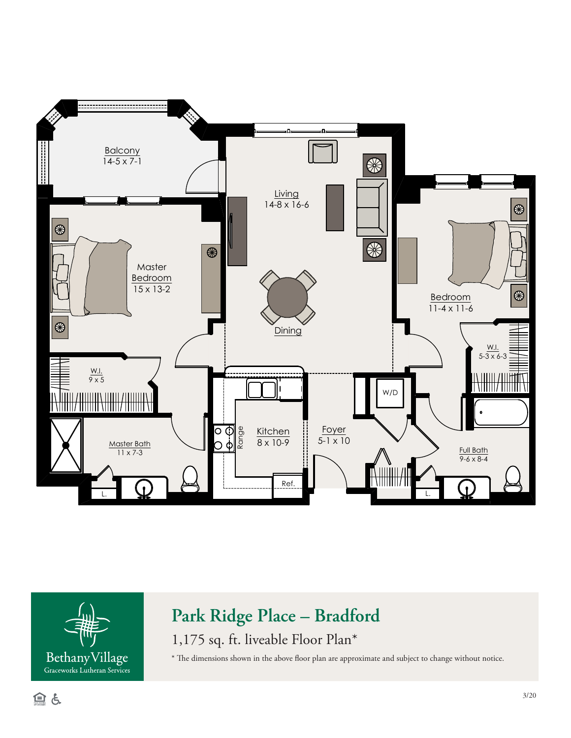



## **Park Ridge Place – Bradford**

1,175 sq. ft. liveable Floor Plan\*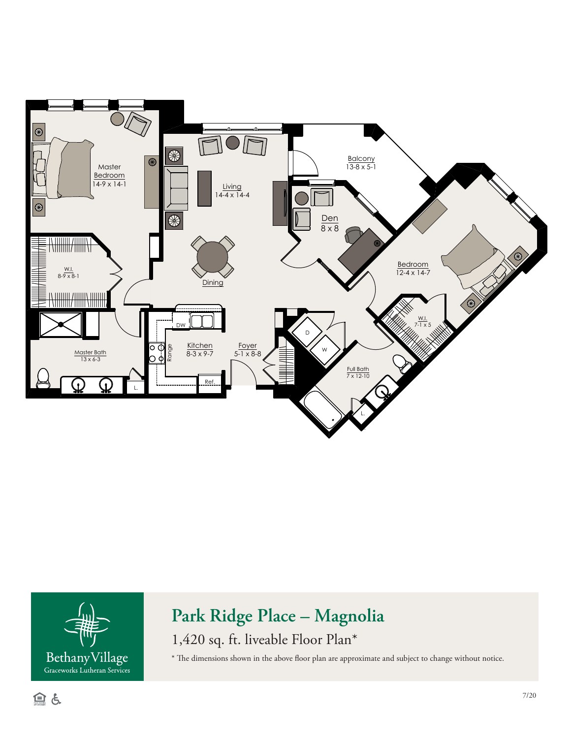



## **Park Ridge Place – Magnolia**

1,420 sq. ft. liveable Floor Plan\*